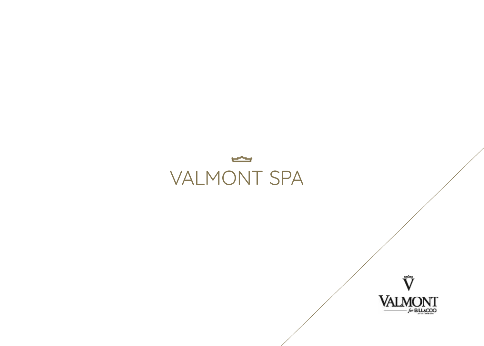

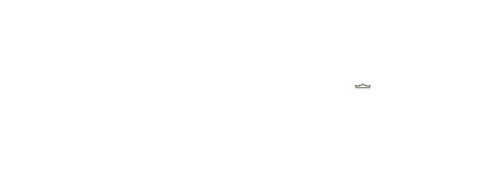الحشية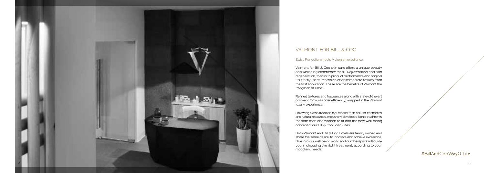

Following Swiss tradition by using hi tech cellular cosmetics and natural resources, exclusively developed iconic treatments for both men and women to fit into the new well-being concept of our Bill & Coo Spa Suites. Both Valmont and Bill & Coo Hotels are family owned and share the same desire; to innovate and achieve excellence. Dive into our well-being world and our therapists will guide you in choosing the right treatment, according to your mood and needs. and wellbeing experience for all. Rejuvenation and skin regeneration, thanks to product performance and original "Butterfly" gestures which offer immediate results from the first application. These are the benefits of Valmont the "Magician of Time". Refined textures and fragrances along with state-of-the-art cosmetic formulas offer efficiency, wrapped in the Valmont luxury experience.

# #BillAndCooWayOfLife

### Swiss Perfection meets Mykonian excellence.

Valmont for Bill & Coo skin care offers a unique beauty

### VALMONT FOR BILL & COO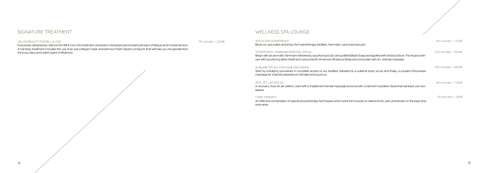#### DELOS BEAUTY FOR BILL & COO

Exclusively designed by Valmont for Bill & Coo, this treatment will assist in recharging and erasing all signs of fatigue and muscle tension. A full body treatment includes the use of an eye collagen mask and premium Elixir Glaciers products that will help you recuperate from the busy days and nights spent in Mykonos.

# SIGNATURE TREATMENT

Book our spa suites and enjoy the hydrotherapy facilities, hammam, sauna and jacuzzi.

#### TRADITIONAL HAMMAM ORIENTAL RITUAL

Begin with an aromatic hammam followed by a purifying scrub using a Beldi Black Soap and applied with a Kassa Glove. The ritual continues with a purifying detox treatment using a North American Rhassoul Wrap and concludes with an oriental massage.

#### SUBLIME RITUAL FOR HONEYMOONERS

Start by indulging yourselves in complete access to our facilities, followed by a sublime body scrub and finally, a couple's Polynesian massage for a blissful experience. Intimate and luxurious.

#### ANTI JET LAG RITUAL

A recovery hour for jet setters, start with a traditional Oriental massage and end with a Valmont hydration facial that will leave you revitalized.

#### CORE THERAPY

An effective combination of special physiotherapy techniques which work the muscles to relieve knots, pain and tension in the back and neck area.



### WELLNESS SPA LOUNGE

75 minutes / 220€ SPA SUITES EXPERIENCE

*60 minutes / 100€*

*120 minutes /* 300*€*

*150 minutes / 400€*

*60 minutes /* 140*€*

*30 minutes / 80€*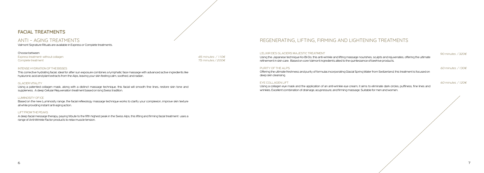#### INTENSE HYDRATION OF THE BISSES

This corrective hydrating facial, ideal for after sun exposure combines a lymphatic face massage with advanced active ingredients like hyaluronic acid and plant extracts from the Alps, leaving your skin feeling calm, soothed, and radian.

#### GLACIER VITALITY

Using a patented collagen mask, along with a distinct massage technique, this facial will smooth fine lines, restore skin tone and suppleness. A deep Cellular Rejuvenation treatment based on long Swiss tradition.

#### LUMINOSITY OF ICE

Based on the new Luminosity range, the facial reflexology massage technique works to clarify your complexion, improve skin texture all while providing instant anti-aging action.

### LIFT FROM THE PEAKS

A deep facial message therapy, paying tribute to the fifth highest peak in the Swiss Alps, this lifting and firming facial treatment uses a range of Anti-Wrinkle Factor products to relax muscle tension.

### *45 minutes / 110€ 75 minutes / 200€*

# ANTI – AGING TREATMENTS

Valmont Signature Rituals are available in Express or Complete treatments.

#### Choose between

Express treatment- without collagen Complete treatment

#### L'ELIXIR DES GLACIERS MAJESTIC TREATMENT

Using the Japanese technique Ko-Bi-Do, this anti-wrinkle and lifting massage nourishes, sculpts and rejuvenates, offering the ultimate refinement in skin care. Based on core Valmont ingredients allied to the quintessence of beehive products.

#### PURITY OF THE ALPS

Offering the ultimate freshness and purity of formulas incorporating Glacial Spring Water from Switzerland, this treatment is focused on deep skin cleansing.

#### EYE COLLAGEN LIFT

Using a collagen eye mask and the application of an anti-wrinkle eye cream, it aims to eliminate dark circles, puffiness, fine lines and wrinkles. Excellent combination of drainage, acupressure, and firming massage. Suitable for men and women.

# REGENERATING, LIFTING, FIRMING AND LIGHTENING TREATMENTS

*90 minutes / 320€*

*60 minutes / 130€* 

*60 minutes / 120€* 

# FACIAL TREATMENTS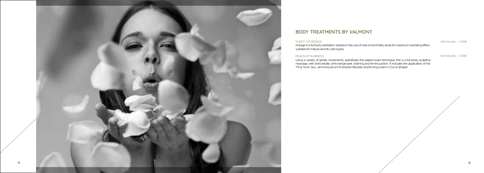### PURITY OF BISSES

Indulge in a full body exfoliation, based on the use of rose oil full of fatty acids for maximum hydrating effect, suitable for mature and dry skin types.

### PEAKS OF SLIMNESS

Using a variety of gentle movements, specifically the palper-rouler technique, this is a full body sculpting massage, with anti-cellulite, anti-orange-peel, draining and firming action. It includes the application of the "Fit & Tone" duo, slimming serum D-Solution Booster and firming cream C-Curve Shaper.



# BODY TREATMENTS BY VALMONT

*45 minutes / 100€* 

*60 minutes / 140€*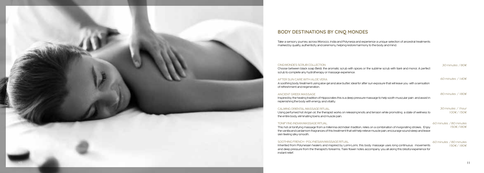

Take a sensory journey across Morocco, India and Polynesia and experience a unique selection of ancestral treatments marked by quality, authenticity and ceremony, helping restore harmony to the body and mind.

Choose between black soap Beldi, the aromatic scrub with spices or the sublime scrub with tiaré and monoï. A perfect scrub to complete any hydrotherapy or massage experience.

# BODY DESTINATIONS BY CINQ MONDES

#### CINQ MONDES SCRUB COLLECTION

#### AFTER SUN CARE WITH ALOE VERA

A soothing body treatment using aloe gel and aloe butter, ideal for after sun exposure that will leave you with a sensation of refreshment and regeneration.

#### ANCIENT GREEK MASSAGE

Inspired by the healing tradition of Hippocrates this is a deep pressure massage to help sooth muscular pain and assist in replenishing the body with energy and vitality.

#### CALMING ORIENTAL MASSAGE RITUAL

the entire body, eliminating toxins and muscle pain.

#### TONIFYING INDIAN MASSAGE RITUAL

Using perfumed hot Argan oil, the therapist works on releasing knots and tension while promoting a state of wellness to *30 minutes / 1hour 100€ / 150€* 

#### SOOTHING FRENCH - POLYNESIAN MASSAGE RITUAL

This hot oil tonifying massage from a millennia old Indian tradition, relies on a combination of invigorating strokes. Enjoy the vanilla and cardamom fragrances of this treatment that will help relieve muscle pain, encourage sound sleep and leave skin feeling silky-smooth. *60 minutes / 80 minutes 150€ /180€* 

Inherited from Polynesian healers and inspired by Lomi-Lomi, this body massage uses long continuous movements and deep pressure from the therapist's forearms. Tiare flower notes accompany you all along this blissful experience for instant relief. *60 minutes / 80 minutes 150€ / 180€* 

*30 minutes / 80€* 

*60 minutes / 140€* 

*80 minutes / 180€*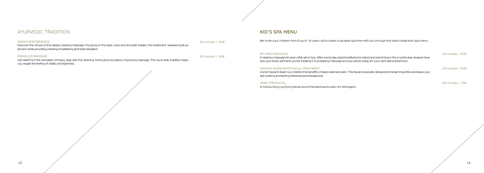#### INDIAN HEAD MASSAGE

Discover the virtues of this deeply relaxing massage. Focusing on the back, neck and shoulder blades, this treatment releases built-up tension while providing a feeling of wellbeing and total relaxation.

#### INDIAN LEG MASSAGE

Get relief from the sensation of heavy legs with this draining, toning and circulatory improving massage. This Ayurvedic tradition helps you regain the feeling of vitality and lightness.

# AYURVEDIC TRADITION

*30 minutes / 90€* 

*30 minutes / 90€* 

We invite your children from 6 up to 16 years old to share a valuable spa time with you through this tailor-made kid's spa menu.

A short facial to teach our children the benefits of deep-cleansing skin. This facial is sp skin looking and feeling refreshed and rebalanced.

### KID'S SPA MENU

#### MY FIRST MASSAGE

A relaxing massage for every little girl or boy. After a long day exploring Mykonos island and swimming in the crystalsea, your body will thank you for treating it, to a relaxing massage and you will be read

#### AEGEAN SNOW-WHITE FACIAL TREATMENT

#### HEBE TEEN FACIAL

A moisturizing, purifying facial recommended particularly for teenagers.

*20 minutes / 50€*

| ind and swimming in the crystal-clear Aegean blue<br>dy for your next island adventure. | 20 minutes / 50 $\epsilon$ |
|-----------------------------------------------------------------------------------------|----------------------------|
| becially designed to target impurities and leave your                                   | 20 minutes / 50 $\epsilon$ |

*50 minutes / 70€* 

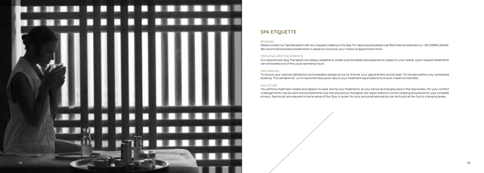

Please contact our Spa Reception with any requests relating to the Spa. For Spa enquires please call 550 (internal extension) or +30 22890 26292. We recommend booking treatments in advance to ensure your choice of appointment time.

#### PERSONALIZED TREATMENTS

Our experienced Spa Therapists are always available to create a personalized spa experience subject to your needs. Upon request treatments can be booked out of the usual operating hours.

#### SPA ARRIVAL

You will find a bathrobe, towels and slippers to wear during your treatments, at your personal changing area in the Spa Suites. For your comfort undergarments may be worn during treatments, but rest assured our therapists are highly trained in correct draping procedures for your complete privacy. Swimsuits are required in some areas of the Spa. A locker for your personal belongings can be found at the Gym's changing areas.



To ensure your optimal satisfaction and relaxation please arrive on time for your appointment and at least 15 minutes before your scheduled booking. This will allow for us to have brief discussion about your treatment expectations to ensure maximum benefits.

#### SPA ATTIRE

# SPA ETIQUETTE

#### **BOOKING**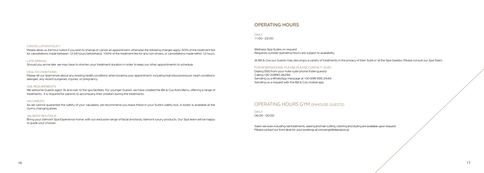#### CANCELLATION POLICY

Please allow us 24-hour notice if you wish to change or cancel an appointment, otherwise the following charges apply: 50% of the treatment fee for cancellations made between 12-24 hours beforehand. 100% of the treatment fee for any non-shows, or cancellations made within 12 hours.

#### LATE ARRIVAL

Should you arrive late, we may have to shorten your treatment duration in order to keep our other appointments to schedule.

#### HEALTH CONDITIONS

Please let our team know about any existing health conditions when booking your appointment, including high blood pressure, heart conditions, allergies, any recent surgeries, injuries, or pregnancy.

#### AGE REQUIREMENTS

We welcome Guests aged 16 and over to the spa facilities. For younger Guests, we have created the Bill & Coo Kid's Menu, offering a range of treatments. It is required for parents to accompany their children during the treatments.

#### VALUABLES

As we cannot guarantee the safety of your valuables, we recommend you leave these in your Suite's safety box. A locker is available at the Gym's changing areas.

#### VALMONT BOUTIQUE

Bring your Valmont Spa Experience home, with our exclusive range of facial and body Valmont luxury products. Our Spa team will be happy to guide your choices.

### DAILY

11:00 - 22:00

Wellness Spa Suites on request Requests outside operating Hours are subject to availability.

At Bill & Coo our Guests may also enjoy a variety of treatments in the privacy of their Suite or at the Spa Gazebo. Please consult our Spa Team.

#### FOR RESERVATIONS, PLEASE PLEASE CONTACT US BY:

Dialing 550 from your hotel suite phone (hotel guests) Calling +30 22890 26292 Sending us a WhatsApp message at +30 698 555 2444 Sending us a request with the Bill & Coo mobile app

### OPERATING HOURS

DAILY 06:00 - 00:00

### OPERATING HOURS GYM (INHOUSE GUESTS)

Salon services including nail treatments, waxing and hair cutting, coloring and styling are available upon request. Please contact our front desk for your bookings at concierge@billandcoo.gr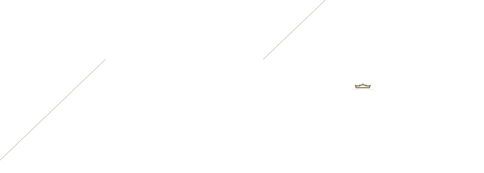